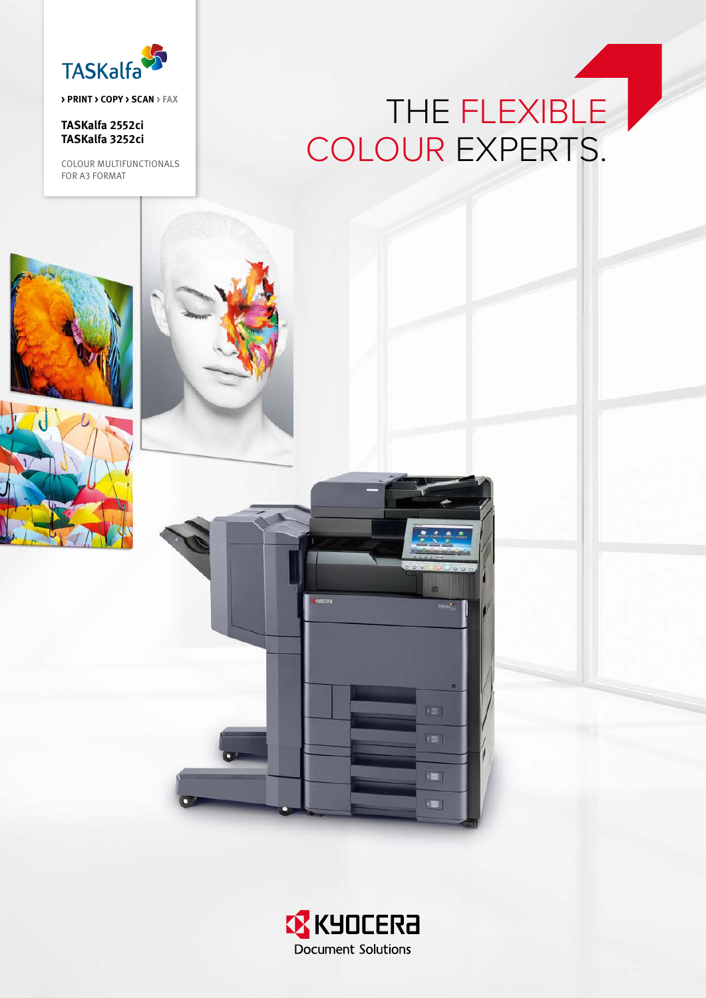

> PRINT > COPY > SCAN > FAX

TASKalfa 2552ci TASKalfa 3252ci

COLOUR MULTIFUNCTIONALS FOR A3 FORMAT

## THE FLEXIBLE COLOUR EXPERTS.





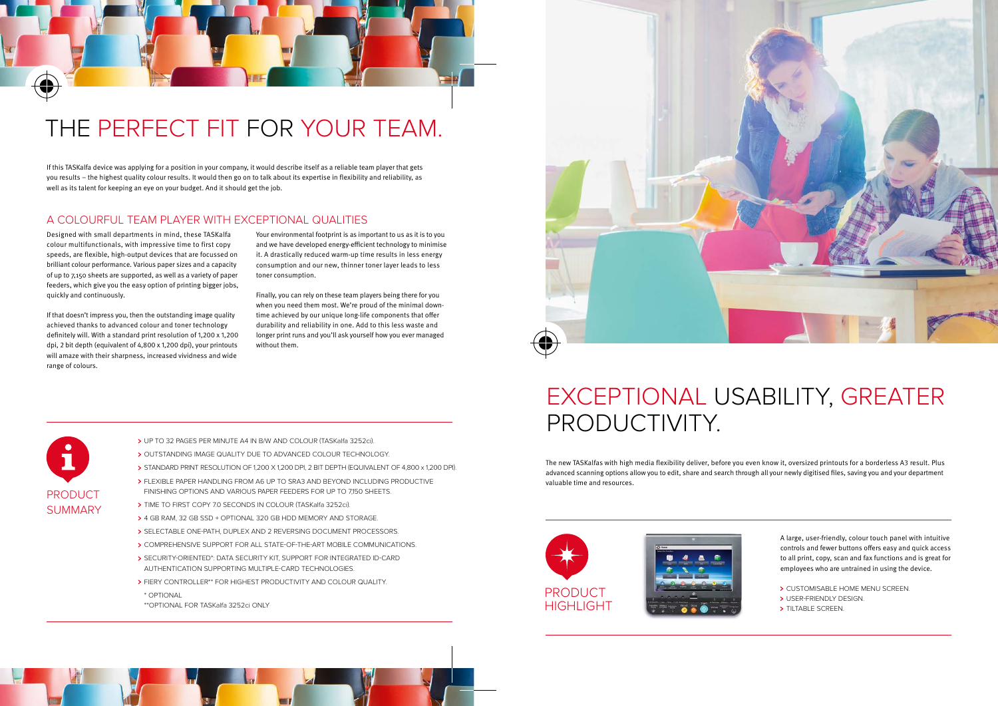A large, user-friendly, colour touch panel with intuitive controls and fewer buttons offers easy and quick access to all print, copy, scan and fax functions and is great for employees who are untrained in using the device.

- > CUSTOMISABLE HOME MENU SCREEN.
- **> USER-FRIENDLY DESIGN.**
- > TILTABLE SCREEN.

The new TASKalfas with high media flexibility deliver, before you even know it, oversized printouts for a borderless A3 result. Plus advanced scanning options allow you to edit, share and search through all your newly digitised files, saving you and your department valuable time and resources.



### A COLOURFUL TEAM PLAYER WITH EXCEPTIONAL QUALITIES

## THE PERFECT FIT FOR YOUR TEAM.

\* OPTIONAL

\*\*optional for TASKalfa 3252ci only



Designed with small departments in mind, these TASKalfa colour multifunctionals, with impressive time to first copy speeds, are flexible, high-output devices that are focussed on brilliant colour performance. Various paper sizes and a capacity of up to 7,150 sheets are supported, as well as a variety of paper feeders, which give you the easy option of printing bigger jobs, quickly and continuously.

If that doesn't impress you, then the outstanding image quality achieved thanks to advanced colour and toner technology definitely will. With a standard print resolution of 1,200 x 1,200 dpi, 2 bit depth (equivalent of 4,800 x 1,200 dpi), your printouts will amaze with their sharpness, increased vividness and wide range of colours.

If this TASKalfa device was applying for a position in your company, it would describe itself as a reliable team player that gets you results – the highest quality colour results. It would then go on to talk about its expertise in flexibility and reliability, as well as its talent for keeping an eye on your budget. And it should get the job.

> Your environmental footprint is as important to us as it is to you and we have developed energy-efficient technology to minimise it. A drastically reduced warm-up time results in less energy consumption and our new, thinner toner layer leads to less toner consumption.

Finally, you can rely on these team players being there for you when you need them most. We're proud of the minimal downtime achieved by our unique long-life components that offer durability and reliability in one. Add to this less waste and longer print runs and you'll ask yourself how you ever managed without them.



M

♦

- > UP TO 32 PAGES PER MINUTE A4 IN B/W AND COLOUR (TASKalfa 3252ci).
- > OUTSTANDING IMAGE QUALITY DUE TO ADVANCED COLOUR TECHNOLOGY.
- Standard print resolution of 1,200 x 1,200 dpi, 2 bit depth (equivalent of 4,800 x 1,200 dpi).
- Flexible paper handling from A6 up to SRA3 and beyond including productive finishing options and various paper feeders for up to 7,150 sheets.
- > TIME TO FIRST COPY 7.0 SECONDS IN COLOUR (TASKalfa 3252ci).
- 4 GB ram, 32 GB SSD + optional 320 GB HDD memory and storage.
- > SELECTABLE ONE-PATH, DUPLEX AND 2 REVERSING DOCUMENT PROCESSORS.
- Comprehensive support for all state-of-the-art mobile communications.
- Security-oriented\*: data security kit, support for integrated ID-card authentication supporting multiple-card technologies.
- **> FIERY CONTROLLER\*\* FOR HIGHEST PRODUCTIVITY AND COLOUR QUALITY.**

## EXCEPTIONAL USABILITY, GREATER PRODUCTIVITY.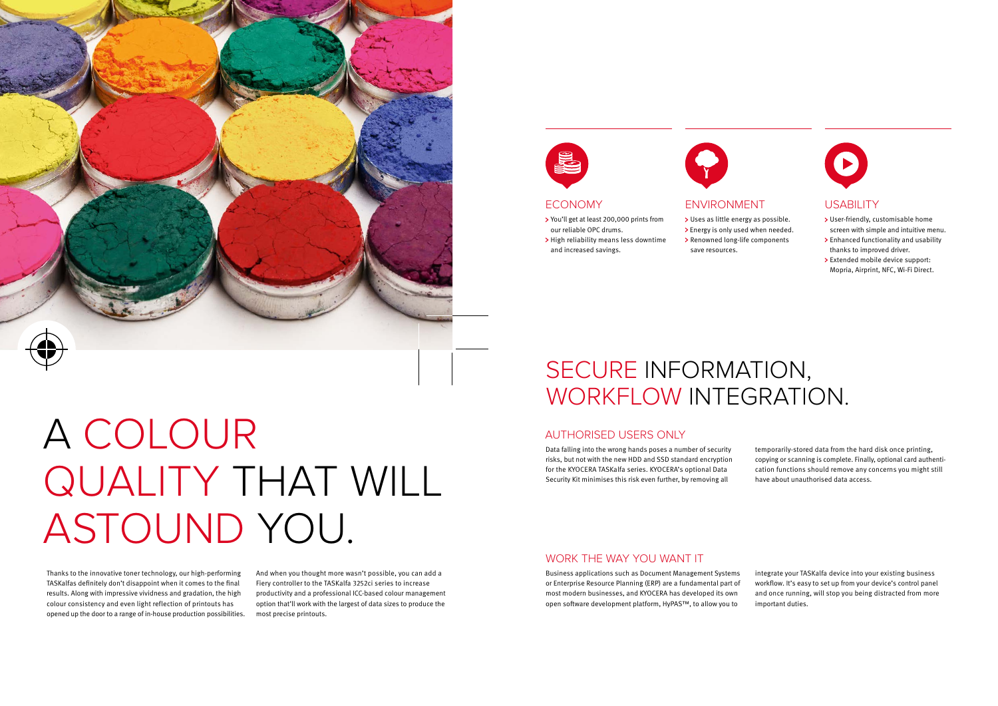

# A COLOUR QUALITY THAT WILL ASTOUND YOU.

### AUTHORISED USERS ONLY

### WORK THE WAY YOU WANT IT

## SECURE INFORMATION, WORKFLOW INTEGRATION.

Data falling into the wrong hands poses a number of security risks, but not with the new HDD and SSD standard encryption for the Kyocera TASKalfa series. KYOCERA's optional Data Security Kit minimises this risk even further, by removing all

Business applications such as Document Management Systems or Enterprise Resource Planning (ERP) are a fundamental part of most modern businesses, and KYOCERA has developed its own open software development platform, HyPAS™, to allow you to



#### > Renowned long-life components save resources.

temporarily-stored data from the hard disk once printing, copying or scanning is complete. Finally, optional card authentication functions should remove any concerns you might still have about unauthorised data access.

integrate your TASKalfa device into your existing business workflow. It's easy to set up from your device's control panel and once running, will stop you being distracted from more important duties.

#### ECONOMY ENVIRONMENT USABILITY

- You'll get at least 200,000 prints from our reliable OPC drums.
- > High reliability means less downtime and increased savings.



- User-friendly, customisable home screen with simple and intuitive menu.
- Enhanced functionality and usability thanks to improved driver.
- > Extended mobile device support: Mopria, Airprint, NFC, Wi-Fi Direct.

> Uses as little energy as possible. > Energy is only used when needed.

Thanks to the innovative toner technology, our high-performing TASKalfas definitely don't disappoint when it comes to the final results. Along with impressive vividness and gradation, the high colour consistency and even light reflection of printouts has opened up the door to a range of in-house production possibilities.

And when you thought more wasn't possible, you can add a Fiery controller to the TASKalfa 3252ci series to increase productivity and a professional ICC-based colour management option that'll work with the largest of data sizes to produce the most precise printouts.

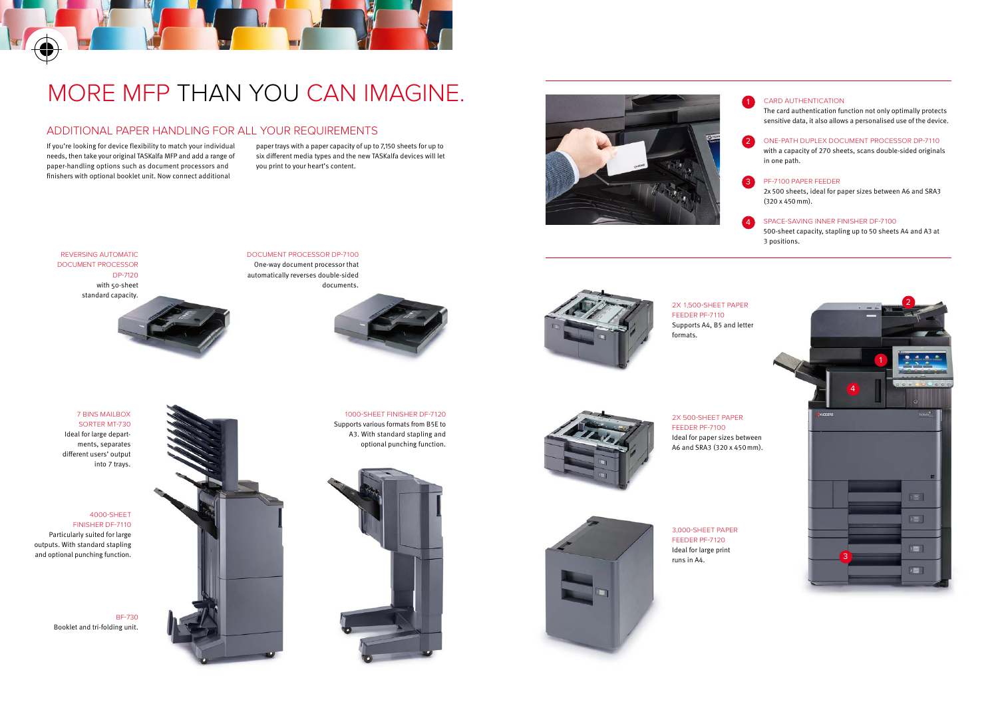### ADDITIONAL PAPER HANDLING FOR ALL YOUR REQUIREMENTS

## MORE MFP THAN YOU CAN IMAGINE.

If you're looking for device flexibility to match your individual needs, then take your original TASKalfa MFP and add a range of paper-handling options such as document processors and finishers with optional booklet unit. Now connect additional

paper trays with a paper capacity of up to 7,150 sheets for up to six different media types and the new TASKalfa devices will let you print to your heart's content.

BF-730 Booklet and tri-folding unit.









#### Card Authentication The card authentication function not only optimally protects sensitive data, it also allows a personalised use of the device.

- ONE-PATH DUPLEX DOCUMENT PROCESSOR DP-7110 with a capacity of 270 sheets, scans double-sided originals in one path.
- PF-7100 Paper feeder 2x 500 sheets, ideal for paper sizes between A6 and SRA3 (320 x 450mm).
- SPACE-SAVING INnER FINISHER DF-7100 500-sheet capacity, stapling up to 50 sheets A4 and A3 at 3 positions.







### document processor DP-7100

One-way document processor that automatically reverses double-sided documents.





4000-sheet finisher DF-7110 Particularly suited for large outputs. With standard stapling and optional punching function.

## 1000-sheet finisher DF-7120 Supports various formats from B5E to A3. With standard stapling and

optional punching function.



3,000-sheet paper feeder PF-7120 Ideal for large print runs in A4.

2x 1,500-sheet paper feeder PF-7110 Supports A4, B5 and letter formats.

#### 2x 500-sheet paper feeder PF-7100 Ideal for paper sizes between

A6 and SRA3 (320 x 450mm).